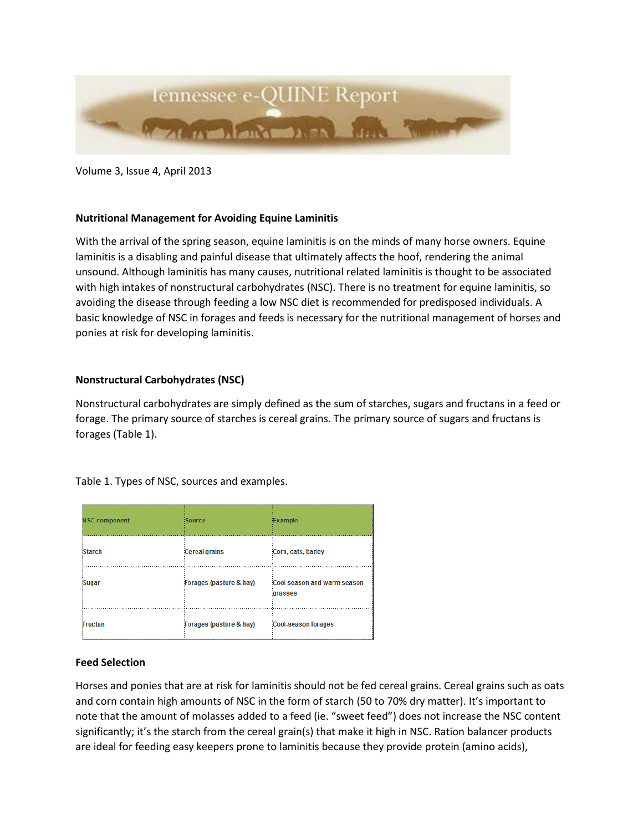

Volume 3, Issue 4, April 2013

# **Nutritional Management for Avoiding Equine Laminitis**

With the arrival of the spring season, equine laminitis is on the minds of many horse owners. Equine laminitis is a disabling and painful disease that ultimately affects the hoof, rendering the animal unsound. Although laminitis has many causes, nutritional related laminitis is thought to be associated with high intakes of nonstructural carbohydrates (NSC). There is no treatment for equine laminitis, so avoiding the disease through feeding a low NSC diet is recommended for predisposed individuals. A basic knowledge of NSC in forages and feeds is necessary for the nutritional management of horses and ponies at risk for developing laminitis.

## **Nonstructural Carbohydrates (NSC)**

Nonstructural carbohydrates are simply defined as the sum of starches, sugars and fructans in a feed or forage. The primary source of starches is cereal grains. The primary source of sugars and fructans is forages (Table 1).

Table 1. Types of NSC, sources and examples.

| <b>NSC component</b> | Source                  | Example                                |
|----------------------|-------------------------|----------------------------------------|
| <b>Starch</b>        | <b>Cereal grains</b>    | Corn, oats, barley                     |
| <b>Sugar</b>         | Forages (pasture & hay) | Cool season and warm season<br>drasses |
| Fructan              | Forages (pasture & hay) | <b>Cool-season forages</b>             |

#### **Feed Selection**

Horses and ponies that are at risk for laminitis should not be fed cereal grains. Cereal grains such as oats and corn contain high amounts of NSC in the form of starch (50 to 70% dry matter). It's important to note that the amount of molasses added to a feed (ie. "sweet feed") does not increase the NSC content significantly; it's the starch from the cereal grain(s) that make it high in NSC. Ration balancer products are ideal for feeding easy keepers prone to laminitis because they provide protein (amino acids),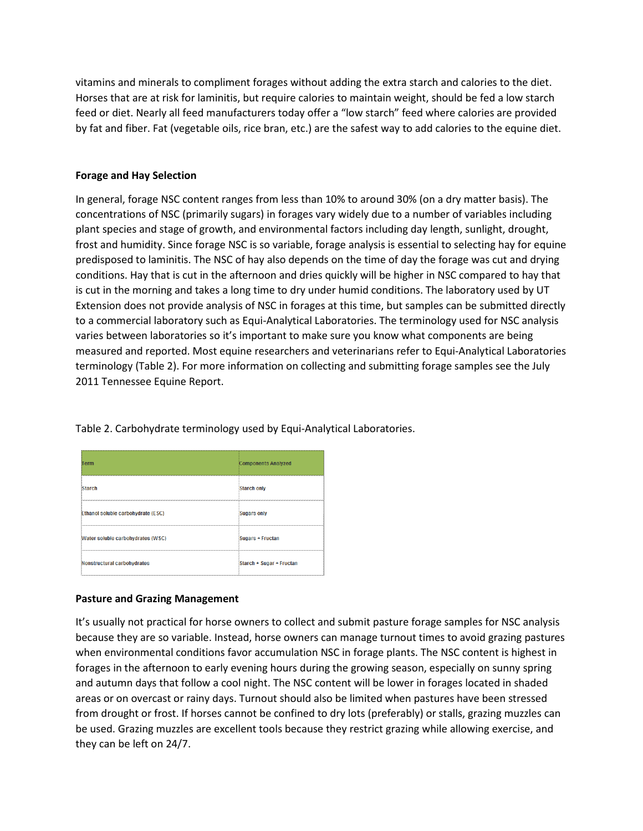vitamins and minerals to compliment forages without adding the extra starch and calories to the diet. Horses that are at risk for laminitis, but require calories to maintain weight, should be fed a low starch feed or diet. Nearly all feed manufacturers today offer a "low starch" feed where calories are provided by fat and fiber. Fat (vegetable oils, rice bran, etc.) are the safest way to add calories to the equine diet.

# **Forage and Hay Selection**

In general, forage NSC content ranges from less than 10% to around 30% (on a dry matter basis). The concentrations of NSC (primarily sugars) in forages vary widely due to a number of variables including plant species and stage of growth, and environmental factors including day length, sunlight, drought, frost and humidity. Since forage NSC is so variable, forage analysis is essential to selecting hay for equine predisposed to laminitis. The NSC of hay also depends on the time of day the forage was cut and drying conditions. Hay that is cut in the afternoon and dries quickly will be higher in NSC compared to hay that is cut in the morning and takes a long time to dry under humid conditions. The laboratory used by UT Extension does not provide analysis of NSC in forages at this time, but samples can be submitted directly to a commercial laboratory such as Equi-Analytical Laboratories. The terminology used for NSC analysis varies between laboratories so it's important to make sure you know what components are being measured and reported. Most equine researchers and veterinarians refer to Equi-Analytical Laboratories terminology (Table 2). For more information on collecting and submitting forage samples see the July 2011 Tennessee Equine Report.

| Term                               | <b>Components Analyzed</b> |
|------------------------------------|----------------------------|
| <b>Starch</b>                      | Starch only                |
| Ethanol soluble carbohydrate (ESC) | Sugars only                |
| Water soluble carbohydrates (WSC)  | Sugars + Fructan           |
| Nonstructural carbohydrates        | Starch + Sugar + Fructan   |

Table 2. Carbohydrate terminology used by Equi-Analytical Laboratories.

# **Pasture and Grazing Management**

It's usually not practical for horse owners to collect and submit pasture forage samples for NSC analysis because they are so variable. Instead, horse owners can manage turnout times to avoid grazing pastures when environmental conditions favor accumulation NSC in forage plants. The NSC content is highest in forages in the afternoon to early evening hours during the growing season, especially on sunny spring and autumn days that follow a cool night. The NSC content will be lower in forages located in shaded areas or on overcast or rainy days. Turnout should also be limited when pastures have been stressed from drought or frost. If horses cannot be confined to dry lots (preferably) or stalls, grazing muzzles can be used. Grazing muzzles are excellent tools because they restrict grazing while allowing exercise, and they can be left on 24/7.